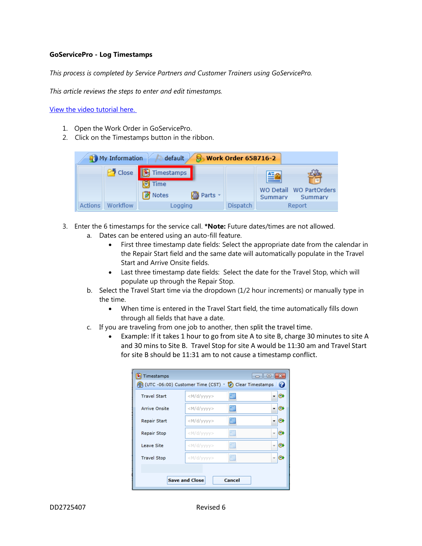## **GoServicePro - Log Timestamps**

*This process is completed by Service Partners and Customer Trainers using GoServicePro.*

*This article reviews the steps to enter and edit timestamps.*

[View the video tutorial here.](http://www.daktronics.com/en-us/video-gallery/GoServicePro-Log-Lunch-and-Timestamps)

- 1. Open the Work Order in GoServicePro.
- 2. Click on the Timestamps button in the ribbon.

| $\rightarrow$ default<br><b>S</b> Work Order 658716-2<br>My Information |                     |                                      |           |                 |                            |                                    |
|-------------------------------------------------------------------------|---------------------|--------------------------------------|-----------|-----------------|----------------------------|------------------------------------|
|                                                                         | <sup>25</sup> Close | Timestamps<br>Time<br><b>E</b> Notes | 图 Parts - |                 | A <sub>nd</sub><br>Summary | WO Detail WO PartOrders<br>Summary |
| <b>Actions</b>                                                          | Workflow            | Logging                              |           | <b>Dispatch</b> |                            | Report                             |

- 3. Enter the 6 timestamps for the service call. **\*Note:** Future dates/times are not allowed.
	- a. Dates can be entered using an auto-fill feature.
		- First three timestamp date fields: Select the appropriate date from the calendar in the Repair Start field and the same date will automatically populate in the Travel Start and Arrive Onsite fields.
		- Last three timestamp date fields: Select the date for the Travel Stop, which will populate up through the Repair Stop.
	- b. Select the Travel Start time via the dropdown (1/2 hour increments) or manually type in the time.
		- When time is entered in the Travel Start field, the time automatically fills down through all fields that have a date.
	- c. If you are traveling from one job to another, then split the travel time.
		- Example: If it takes 1 hour to go from site A to site B, charge 30 minutes to site A and 30 mins to Site B. Travel Stop for site A would be 11:30 am and Travel Start for site B should be 11:31 am to not cause a timestamp conflict.

| Timestamps<br>  a    0                                      |                                                                                          |  |  |  |  |  |  |  |  |
|-------------------------------------------------------------|------------------------------------------------------------------------------------------|--|--|--|--|--|--|--|--|
| (UTC -06:00) Customer Time (CST) ~<br>Clear Timestamps<br>Ø |                                                                                          |  |  |  |  |  |  |  |  |
| <b>Travel Start</b>                                         | 扁<br><m d="" yyyy=""><br/>C.</m>                                                         |  |  |  |  |  |  |  |  |
| <b>Arrive Onsite</b>                                        | 畺<br><m d="" vyyy=""><br/>C</m>                                                          |  |  |  |  |  |  |  |  |
| Repair Start                                                | 靊<br><m d="" yyyy=""><br/>C.</m>                                                         |  |  |  |  |  |  |  |  |
| Repair Stop                                                 | 扁<br>G.<br><m d="" yyyy=""><br/><math>\overline{\phantom{a}}</math></m>                  |  |  |  |  |  |  |  |  |
| Leave Site                                                  | 扁<br><m d="" vyyy=""><br/>C.<br/><math>\overline{\phantom{a}}</math></m>                 |  |  |  |  |  |  |  |  |
| <b>Travel Stop</b>                                          | 扁<br><m d="" yyyy=""><br/>e<br/><math display="inline">\overline{\phantom{a}}</math></m> |  |  |  |  |  |  |  |  |
|                                                             |                                                                                          |  |  |  |  |  |  |  |  |
| <b>Save and Close</b><br>Cancel                             |                                                                                          |  |  |  |  |  |  |  |  |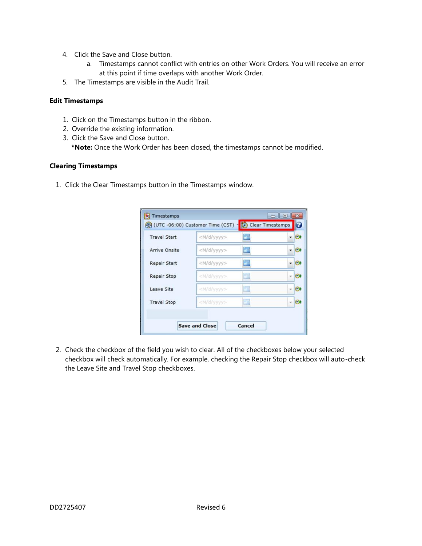- 4. Click the Save and Close button.
	- a. Timestamps cannot conflict with entries on other Work Orders. You will receive an error at this point if time overlaps with another Work Order.
- 5. The Timestamps are visible in the Audit Trail.

## **Edit Timestamps**

- 1. Click on the Timestamps button in the ribbon.
- 2. Override the existing information.
- 3. Click the Save and Close button.

**\*Note:** Once the Work Order has been closed, the timestamps cannot be modified.

## **Clearing Timestamps**

1. Click the Clear Timestamps button in the Timestamps window.

| <b>Travel Start</b> | <m d="" yyyy=""></m> | 臝 | C.                  |
|---------------------|----------------------|---|---------------------|
| Arrive Onsite       | $<$ M/d/yyyy>        | 撫 | ⊛                   |
| <b>Repair Start</b> | <m d="" yyyy=""></m> | 圖 | C)                  |
| Repair Stop         | <m d="" yyyy=""></m> | H | $\bullet$<br>$\sim$ |
| Leave Site          | <wd yyyy=""></wd>    | 匾 | ◎                   |
| <b>Travel Stop</b>  | <m d="" vyyy=""></m> | 圖 | $\odot$             |

2. Check the checkbox of the field you wish to clear. All of the checkboxes below your selected checkbox will check automatically. For example, checking the Repair Stop checkbox will auto-check the Leave Site and Travel Stop checkboxes.